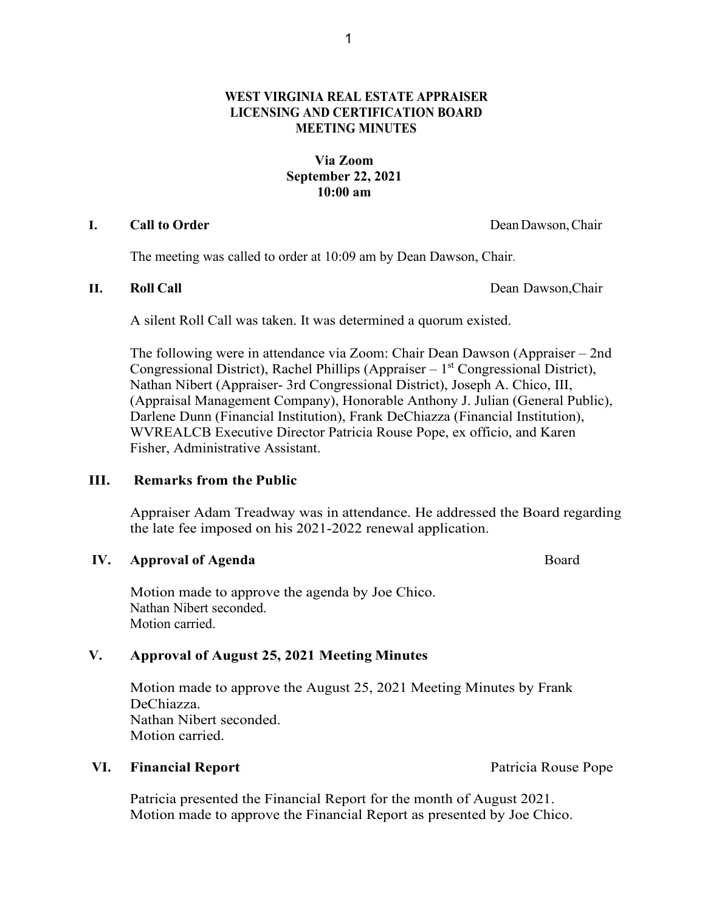# **WEST VIRGINIA REAL ESTATE APPRAISER LICENSING AND CERTIFICATION BOARD MEETING MINUTES**

# **Via Zoom September 22, 2021 10:00 am**

## **I. Call to Order** DeanDawson,Chair

The meeting was called to order at 10:09 am by Dean Dawson, Chair.

**II. Roll Call** Dean Dawson,Chair

A silent Roll Call was taken. It was determined a quorum existed.

The following were in attendance via Zoom: Chair Dean Dawson (Appraiser – 2nd Congressional District), Rachel Phillips (Appraiser  $-1<sup>st</sup>$  Congressional District), Nathan Nibert (Appraiser- 3rd Congressional District), Joseph A. Chico, III, (Appraisal Management Company), Honorable Anthony J. Julian (General Public), Darlene Dunn (Financial Institution), Frank DeChiazza (Financial Institution), WVREALCB Executive Director Patricia Rouse Pope, ex officio, and Karen Fisher, Administrative Assistant.

## **III. Remarks from the Public**

Appraiser Adam Treadway was in attendance. He addressed the Board regarding the late fee imposed on his 2021-2022 renewal application.

## **IV. Approval of Agenda Board**

Motion made to approve the agenda by Joe Chico. Nathan Nibert seconded. Motion carried.

## **V. Approval of August 25, 2021 Meeting Minutes**

Motion made to approve the August 25, 2021 Meeting Minutes by Frank DeChiazza. Nathan Nibert seconded. Motion carried.

## VI. Financial Report **Patricia Rouse Pope Patricia Rouse Pope**

Patricia presented the Financial Report for the month of August 2021. Motion made to approve the Financial Report as presented by Joe Chico.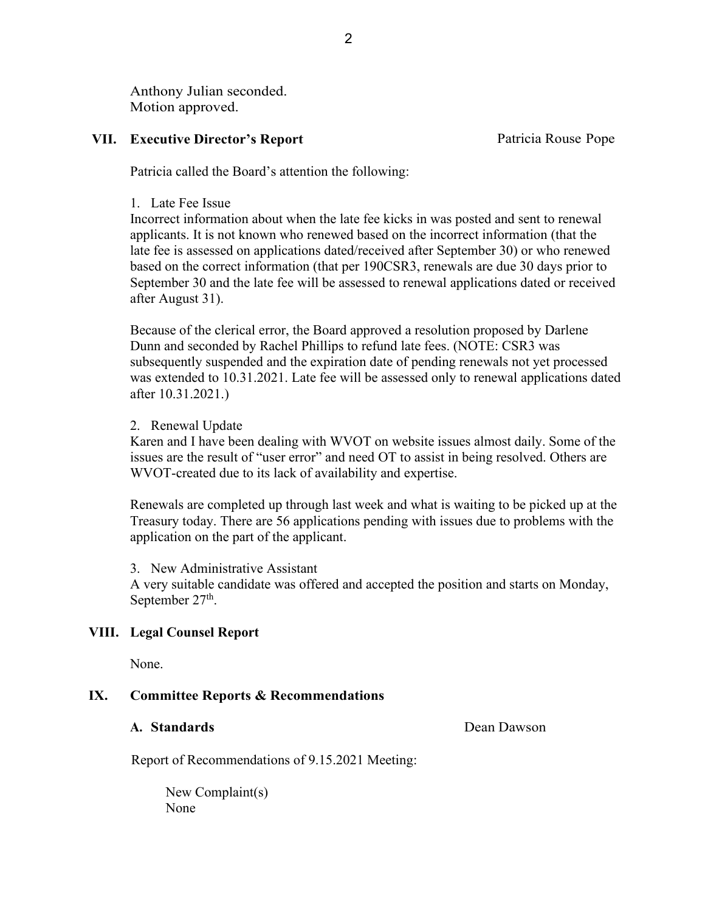Anthony Julian seconded. Motion approved.

## **VII. Executive Director's Report Patricia Rouse Pope**

Patricia called the Board's attention the following:

### 1. Late Fee Issue

Incorrect information about when the late fee kicks in was posted and sent to renewal applicants. It is not known who renewed based on the incorrect information (that the late fee is assessed on applications dated/received after September 30) or who renewed based on the correct information (that per 190CSR3, renewals are due 30 days prior to September 30 and the late fee will be assessed to renewal applications dated or received after August 31).

Because of the clerical error, the Board approved a resolution proposed by Darlene Dunn and seconded by Rachel Phillips to refund late fees. (NOTE: CSR3 was subsequently suspended and the expiration date of pending renewals not yet processed was extended to 10.31.2021. Late fee will be assessed only to renewal applications dated after 10.31.2021.)

### 2. Renewal Update

Karen and I have been dealing with WVOT on website issues almost daily. Some of the issues are the result of "user error" and need OT to assist in being resolved. Others are WVOT-created due to its lack of availability and expertise.

Renewals are completed up through last week and what is waiting to be picked up at the Treasury today. There are 56 applications pending with issues due to problems with the application on the part of the applicant.

3. New Administrative Assistant

A very suitable candidate was offered and accepted the position and starts on Monday, September  $27<sup>th</sup>$ .

### **VIII. Legal Counsel Report**

None.

## **IX. Committee Reports & Recommendations**

**A. Standards** Dean Dawson

Report of Recommendations of 9.15.2021 Meeting:

New Complaint(s) None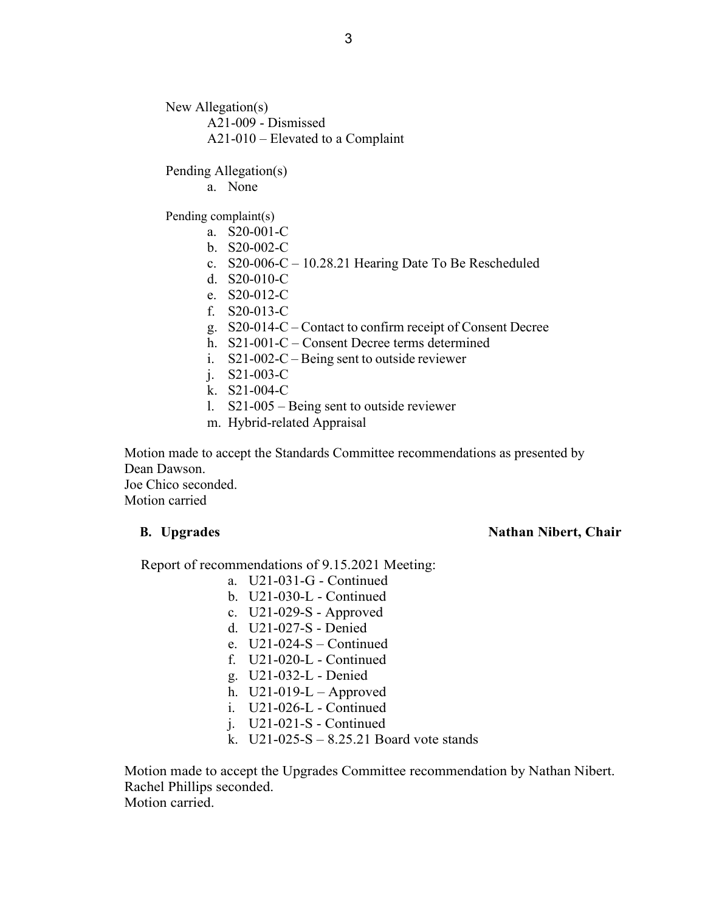New Allegation(s) A21-009 - Dismissed A21-010 – Elevated to a Complaint

Pending Allegation(s)

a. None

Pending complaint(s)

- a. S20-001-C
- b. S20-002-C
- c. S20-006-C 10.28.21 Hearing Date To Be Rescheduled
- d. S20-010-C
- e. S20-012-C
- f. S20-013-C
- g. S20-014-C Contact to confirm receipt of Consent Decree
- h. S21-001-C Consent Decree terms determined
- i. S21-002-C Being sent to outside reviewer
- j. S21-003-C
- k. S21-004-C
- l. S21-005 Being sent to outside reviewer
- m. Hybrid-related Appraisal

Motion made to accept the Standards Committee recommendations as presented by Dean Dawson. Joe Chico seconded.

Motion carried

### **B. Upgrades** Nathan Nibert, Chair

Report of recommendations of 9.15.2021 Meeting:

- a. U21-031-G Continued
- b. U21-030-L Continued
- c. U21-029-S Approved
- d. U21-027-S Denied
- e.  $U21-024-S -$ Continued
- f. U21-020-L Continued
- g. U21-032-L Denied
- h.  $U21-019-L Approved$
- i. U21-026-L Continued
- j. U21-021-S Continued
- k. U21-025-S 8.25.21 Board vote stands

Motion made to accept the Upgrades Committee recommendation by Nathan Nibert. Rachel Phillips seconded. Motion carried.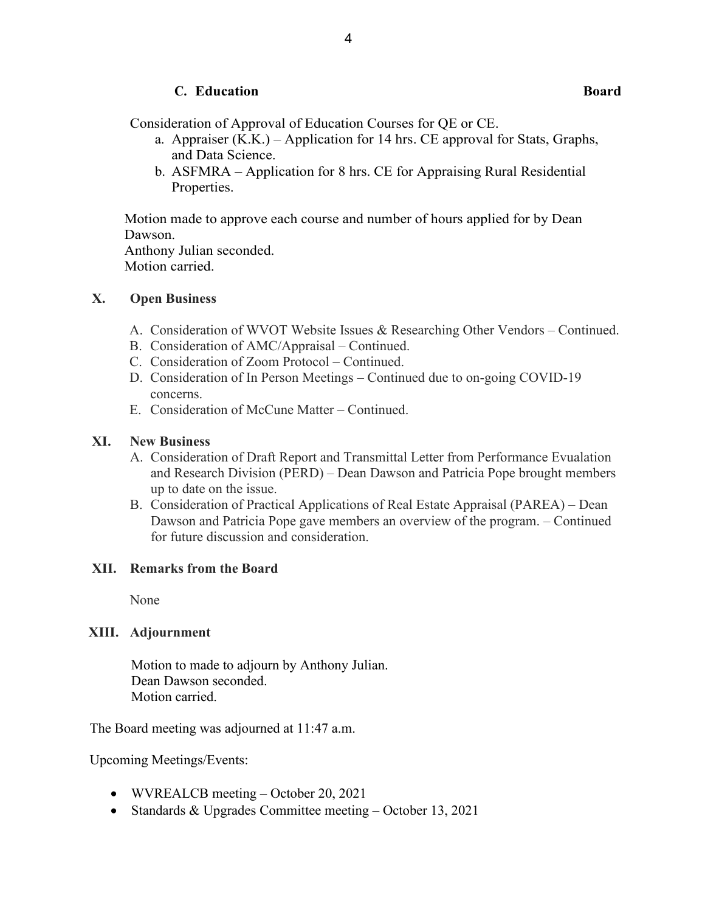# **C. Education Board**

Consideration of Approval of Education Courses for QE or CE.

- a. Appraiser (K.K.) Application for 14 hrs. CE approval for Stats, Graphs, and Data Science.
- b. ASFMRA Application for 8 hrs. CE for Appraising Rural Residential Properties.

Motion made to approve each course and number of hours applied for by Dean Dawson. Anthony Julian seconded.

Motion carried.

## **X. Open Business**

- A. Consideration of WVOT Website Issues & Researching Other Vendors Continued.
- B. Consideration of AMC/Appraisal Continued.
- C. Consideration of Zoom Protocol Continued.
- D. Consideration of In Person Meetings Continued due to on-going COVID-19 concerns.
- E. Consideration of McCune Matter Continued.

### **XI. New Business**

- A. Consideration of Draft Report and Transmittal Letter from Performance Evualation and Research Division (PERD) – Dean Dawson and Patricia Pope brought members up to date on the issue.
- B. Consideration of Practical Applications of Real Estate Appraisal (PAREA) Dean Dawson and Patricia Pope gave members an overview of the program. – Continued for future discussion and consideration.

### **XII. Remarks from the Board**

None

## **XIII. Adjournment**

Motion to made to adjourn by Anthony Julian. Dean Dawson seconded. Motion carried.

The Board meeting was adjourned at 11:47 a.m.

Upcoming Meetings/Events:

- WVREALCB meeting October 20, 2021
- Standards & Upgrades Committee meeting October 13, 2021